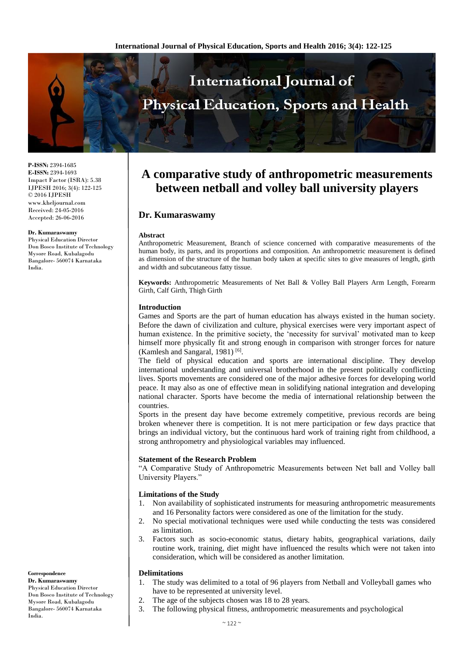

**P-ISSN:** 2394-1685 **E-ISSN:** 2394-1693 Impact Factor (ISRA): 5.38 IJPESH 2016; 3(4): 122-125 © 2016 IJPESH www.kheljournal.com Received: 24-05-2016 Accepted: 26-06-2016

#### **Dr. Kumaraswamy**

Physical Education Director Don Bosco Institute of Technology Mysore Road, Kubalagodu Bangalore- 560074 Karnataka India.

# **Correspondence**

**Dr. Kumaraswamy** Physical Education Director Don Bosco Institute of Technology Mysore Road, Kubalagodu Bangalore- 560074 Karnataka India.

# **A comparative study of anthropometric measurements between netball and volley ball university players**

# **Dr. Kumaraswamy**

#### **Abstract**

Anthropometric Measurement, Branch of science concerned with comparative measurements of the human body, its parts, and its proportions and composition. An anthropometric measurement is defined as dimension of the structure of the human body taken at specific sites to give measures of length, girth and width and subcutaneous fatty tissue.

**Keywords:** Anthropometric Measurements of Net Ball & Volley Ball Players Arm Length, Forearm Girth, Calf Girth, Thigh Girth

## **Introduction**

Games and Sports are the part of human education has always existed in the human society. Before the dawn of civilization and culture, physical exercises were very important aspect of human existence. In the primitive society, the 'necessity for survival' motivated man to keep himself more physically fit and strong enough in comparison with stronger forces for nature (Kamlesh and Sangaral, 1981)<sup>[6]</sup>.

The field of physical education and sports are international discipline. They develop international understanding and universal brotherhood in the present politically conflicting lives. Sports movements are considered one of the major adhesive forces for developing world peace. It may also as one of effective mean in solidifying national integration and developing national character. Sports have become the media of international relationship between the countries.

Sports in the present day have become extremely competitive, previous records are being broken whenever there is competition. It is not mere participation or few days practice that brings an individual victory, but the continuous hard work of training right from childhood, a strong anthropometry and physiological variables may influenced.

## **Statement of the Research Problem**

"A Comparative Study of Anthropometric Measurements between Net ball and Volley ball University Players."

#### **Limitations of the Study**

- 1. Non availability of sophisticated instruments for measuring anthropometric measurements and 16 Personality factors were considered as one of the limitation for the study.
- 2. No special motivational techniques were used while conducting the tests was considered as limitation.
- 3. Factors such as socio-economic status, dietary habits, geographical variations, daily routine work, training, diet might have influenced the results which were not taken into consideration, which will be considered as another limitation.

## **Delimitations**

- 1. The study was delimited to a total of 96 players from Netball and Volleyball games who have to be represented at university level.
- 2. The age of the subjects chosen was 18 to 28 years.
- 3. The following physical fitness, anthropometric measurements and psychological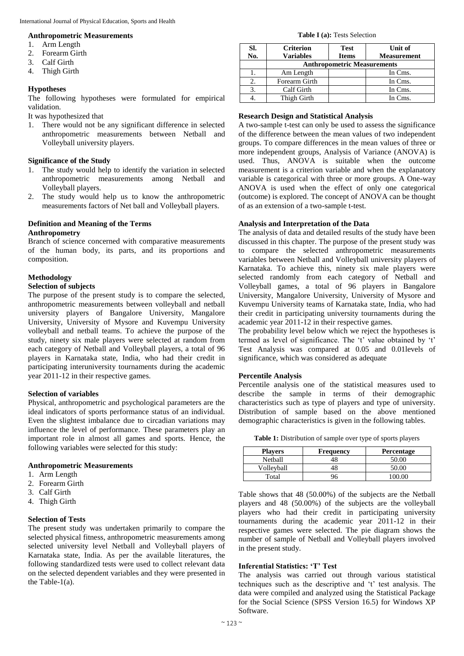### **Anthropometric Measurements**

- 1. Arm Length
- 2. Forearm Girth
- 3. Calf Girth
- 4. Thigh Girth

## **Hypotheses**

The following hypotheses were formulated for empirical validation.

It was hypothesized that

1. There would not be any significant difference in selected anthropometric measurements between Netball and Volleyball university players.

### **Significance of the Study**

- 1. The study would help to identify the variation in selected anthropometric measurements among Netball and Volleyball players.
- 2. The study would help us to know the anthropometric measurements factors of Net ball and Volleyball players.

# **Definition and Meaning of the Terms Anthropometry**

Branch of science concerned with comparative measurements of the human body, its parts, and its proportions and composition.

## **Methodology**

## **Selection of subjects**

The purpose of the present study is to compare the selected, anthropometric measurements between volleyball and netball university players of Bangalore University, Mangalore University, University of Mysore and Kuvempu University volleyball and netball teams. To achieve the purpose of the study, ninety six male players were selected at random from each category of Netball and Volleyball players, a total of 96 players in Karnataka state, India, who had their credit in participating interuniversity tournaments during the academic year 2011-12 in their respective games.

### **Selection of variables**

Physical, anthropometric and psychological parameters are the ideal indicators of sports performance status of an individual. Even the slightest imbalance due to circadian variations may influence the level of performance. These parameters play an important role in almost all games and sports. Hence, the following variables were selected for this study:

#### **Anthropometric Measurements**

- 1. Arm Length
- 2. Forearm Girth
- 3. Calf Girth
- 4. Thigh Girth

#### **Selection of Tests**

The present study was undertaken primarily to compare the selected physical fitness, anthropometric measurements among selected university level Netball and Volleyball players of Karnataka state, India. As per the available literatures, the following standardized tests were used to collect relevant data on the selected dependent variables and they were presented in the Table-1(a).

#### **Table I (a):** Tests Selection

| SI. | <b>Criterion</b>                   | <b>Test</b>  | Unit of            |
|-----|------------------------------------|--------------|--------------------|
| No. | <b>Variables</b>                   | <b>Items</b> | <b>Measurement</b> |
|     | <b>Anthropometric Measurements</b> |              |                    |
|     | Am Length                          |              | In Cms.            |
| 2.  | Forearm Girth                      |              | In Cms.            |
| 3.  | Calf Girth                         |              | In Cms.            |
|     | Thigh Girth                        |              | In Cms.            |

## **Research Design and Statistical Analysis**

A two-sample t-test can only be used to assess the significance of the difference between the mean values of two independent groups. To compare differences in the mean values of three or more independent groups, Analysis of Variance (ANOVA) is used. Thus, ANOVA is suitable when the outcome measurement is a criterion variable and when the explanatory variable is categorical with three or more groups. A One-way ANOVA is used when the effect of only one categorical (outcome) is explored. The concept of ANOVA can be thought of as an extension of a two-sample t-test.

## **Analysis and Interpretation of the Data**

The analysis of data and detailed results of the study have been discussed in this chapter. The purpose of the present study was to compare the selected anthropometric measurements variables between Netball and Volleyball university players of Karnataka. To achieve this, ninety six male players were selected randomly from each category of Netball and Volleyball games, a total of 96 players in Bangalore University, Mangalore University, University of Mysore and Kuvempu University teams of Karnataka state, India, who had their credit in participating university tournaments during the academic year 2011-12 in their respective games.

The probability level below which we reject the hypotheses is termed as level of significance. The 't' value obtained by 't' Test Analysis was compared at 0.05 and 0.01levels of significance, which was considered as adequate

#### **Percentile Analysis**

Percentile analysis one of the statistical measures used to describe the sample in terms of their demographic characteristics such as type of players and type of university. Distribution of sample based on the above mentioned demographic characteristics is given in the following tables.

**Table 1:** Distribution of sample over type of sports players

| <b>Players</b> | Frequency | <b>Percentage</b> |
|----------------|-----------|-------------------|
| Netball        | 48        | 50.00             |
| Volleyball     | 48        | 50.00             |
| Total          | 96        | 00.OO             |

Table shows that 48 (50.00%) of the subjects are the Netball players and 48 (50.00%) of the subjects are the volleyball players who had their credit in participating university tournaments during the academic year 2011-12 in their respective games were selected. The pie diagram shows the number of sample of Netball and Volleyball players involved in the present study.

## **Inferential Statistics: 'T' Test**

The analysis was carried out through various statistical techniques such as the descriptive and 't' test analysis. The data were compiled and analyzed using the Statistical Package for the Social Science (SPSS Version 16.5) for Windows XP Software.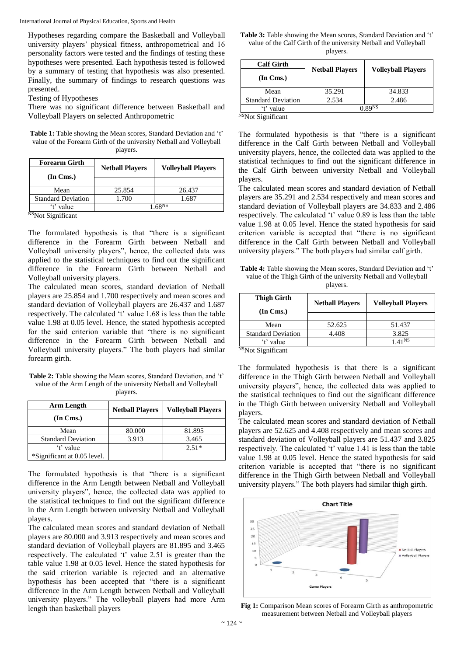International Journal of Physical Education, Sports and Health

Hypotheses regarding compare the Basketball and Volleyball university players' physical fitness, anthropometrical and 16 personality factors were tested and the findings of testing these hypotheses were presented. Each hypothesis tested is followed by a summary of testing that hypothesis was also presented. Finally, the summary of findings to research questions was presented.

Testing of Hypotheses

There was no significant difference between Basketball and Volleyball Players on selected Anthropometric

**Table 1:** Table showing the Mean scores, Standard Deviation and 't' value of the Forearm Girth of the university Netball and Volleyball players.

| <b>Netball Players</b> | <b>Volleyball Players</b> |
|------------------------|---------------------------|
|                        |                           |
| 25.854                 | 26.437                    |
| 1.700                  | 1.687                     |
| 1 68 <sup>NS</sup>     |                           |
|                        |                           |

<sup>NS</sup>Not Significant

The formulated hypothesis is that "there is a significant difference in the Forearm Girth between Netball and Volleyball university players", hence, the collected data was applied to the statistical techniques to find out the significant difference in the Forearm Girth between Netball and Volleyball university players.

The calculated mean scores, standard deviation of Netball players are 25.854 and 1.700 respectively and mean scores and standard deviation of Volleyball players are 26.437 and 1.687 respectively. The calculated 't' value 1.68 is less than the table value 1.98 at 0.05 level. Hence, the stated hypothesis accepted for the said criterion variable that "there is no significant difference in the Forearm Girth between Netball and Volleyball university players." The both players had similar forearm girth.

**Table 2:** Table showing the Mean scores, Standard Deviation, and 't' value of the Arm Length of the university Netball and Volleyball players.

| Arm Length                  | <b>Netball Players</b> | <b>Volleyball Players</b> |
|-----------------------------|------------------------|---------------------------|
| $(In \, Cms.)$              |                        |                           |
|                             |                        |                           |
| Mean                        | 80.000                 | 81.895                    |
| <b>Standard Deviation</b>   | 3.913                  | 3.465                     |
| 't' value                   |                        | $2.51*$                   |
| *Significant at 0.05 level. |                        |                           |

The formulated hypothesis is that "there is a significant difference in the Arm Length between Netball and Volleyball university players", hence, the collected data was applied to the statistical techniques to find out the significant difference in the Arm Length between university Netball and Volleyball players.

The calculated mean scores and standard deviation of Netball players are 80.000 and 3.913 respectively and mean scores and standard deviation of Volleyball players are 81.895 and 3.465 respectively. The calculated 't' value 2.51 is greater than the table value 1.98 at 0.05 level. Hence the stated hypothesis for the said criterion variable is rejected and an alternative hypothesis has been accepted that "there is a significant difference in the Arm Length between Netball and Volleyball university players." The volleyball players had more Arm length than basketball players

**Table 3:** Table showing the Mean scores, Standard Deviation and 't' value of the Calf Girth of the university Netball and Volleyball players.

|                        | <b>Volleyball Players</b> |
|------------------------|---------------------------|
| <b>Netball Players</b> |                           |
|                        |                           |
| 35.291                 | 34.833                    |
| 2.534                  | 2.486                     |
|                        | 0.89 <sup>NS</sup>        |
|                        |                           |

<sup>NS</sup>Not Significant

The formulated hypothesis is that "there is a significant difference in the Calf Girth between Netball and Volleyball university players, hence, the collected data was applied to the statistical techniques to find out the significant difference in the Calf Girth between university Netball and Volleyball players.

The calculated mean scores and standard deviation of Netball players are 35.291 and 2.534 respectively and mean scores and standard deviation of Volleyball players are 34.833 and 2.486 respectively. The calculated 't' value 0.89 is less than the table value 1.98 at 0.05 level. Hence the stated hypothesis for said criterion variable is accepted that "there is no significant difference in the Calf Girth between Netball and Volleyball university players." The both players had similar calf girth.

**Table 4:** Table showing the Mean scores, Standard Deviation and 't' value of the Thigh Girth of the university Netball and Volleyball players.

| <b>Thigh Girth</b>        | <b>Netball Players</b> | <b>Volleyball Players</b> |
|---------------------------|------------------------|---------------------------|
| $(In \, Cms.)$            |                        |                           |
|                           |                        |                           |
| Mean                      | 52.625                 | 51.437                    |
| <b>Standard Deviation</b> | 4.408                  | 3.825                     |
| 't' value                 |                        | $A1$ NS                   |

<sup>NS</sup>Not Significant

The formulated hypothesis is that there is a significant difference in the Thigh Girth between Netball and Volleyball university players", hence, the collected data was applied to the statistical techniques to find out the significant difference in the Thigh Girth between university Netball and Volleyball players.

The calculated mean scores and standard deviation of Netball players are 52.625 and 4.408 respectively and mean scores and standard deviation of Volleyball players are 51.437 and 3.825 respectively. The calculated 't' value 1.41 is less than the table value 1.98 at 0.05 level. Hence the stated hypothesis for said criterion variable is accepted that "there is no significant difference in the Thigh Girth between Netball and Volleyball university players." The both players had similar thigh girth.



**Fig 1:** Comparison Mean scores of Forearm Girth as anthropometric measurement between Netball and Volleyball players